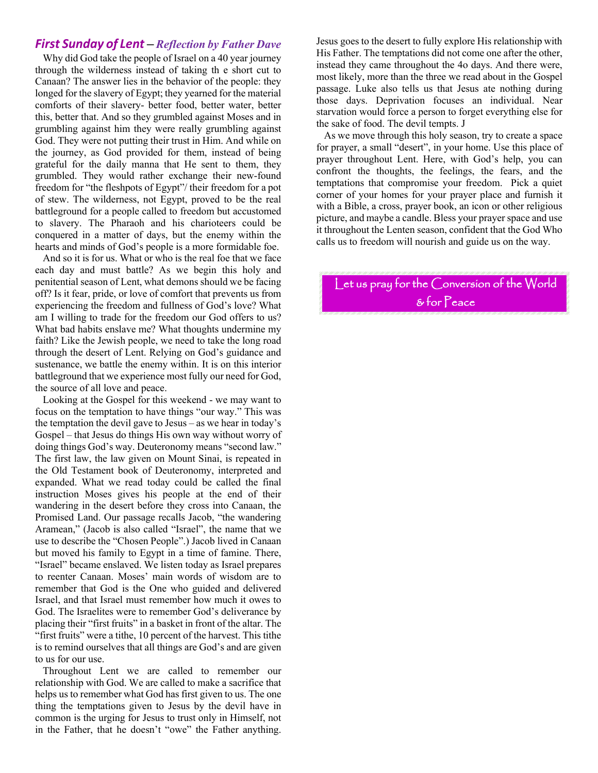#### *First Sunday of Lent – Reflection by Father Dave*

 Why did God take the people of Israel on a 40 year journey through the wilderness instead of taking th e short cut to Canaan? The answer lies in the behavior of the people: they longed for the slavery of Egypt; they yearned for the material comforts of their slavery- better food, better water, better this, better that. And so they grumbled against Moses and in grumbling against him they were really grumbling against God. They were not putting their trust in Him. And while on the journey, as God provided for them, instead of being grateful for the daily manna that He sent to them, they grumbled. They would rather exchange their new-found freedom for "the fleshpots of Egypt"/ their freedom for a pot of stew. The wilderness, not Egypt, proved to be the real battleground for a people called to freedom but accustomed to slavery. The Pharaoh and his charioteers could be conquered in a matter of days, but the enemy within the hearts and minds of God's people is a more formidable foe.

 And so it is for us. What or who is the real foe that we face each day and must battle? As we begin this holy and penitential season of Lent, what demons should we be facing off? Is it fear, pride, or love of comfort that prevents us from experiencing the freedom and fullness of God's love? What am I willing to trade for the freedom our God offers to us? What bad habits enslave me? What thoughts undermine my faith? Like the Jewish people, we need to take the long road through the desert of Lent. Relying on God's guidance and sustenance, we battle the enemy within. It is on this interior battleground that we experience most fully our need for God, the source of all love and peace.

 Looking at the Gospel for this weekend - we may want to focus on the temptation to have things "our way." This was the temptation the devil gave to Jesus – as we hear in today's Gospel – that Jesus do things His own way without worry of doing things God's way. Deuteronomy means "second law." The first law, the law given on Mount Sinai, is repeated in the Old Testament book of Deuteronomy, interpreted and expanded. What we read today could be called the final instruction Moses gives his people at the end of their wandering in the desert before they cross into Canaan, the Promised Land. Our passage recalls Jacob, "the wandering Aramean," (Jacob is also called "Israel", the name that we use to describe the "Chosen People".) Jacob lived in Canaan but moved his family to Egypt in a time of famine. There, "Israel" became enslaved. We listen today as Israel prepares to reenter Canaan. Moses' main words of wisdom are to remember that God is the One who guided and delivered Israel, and that Israel must remember how much it owes to God. The Israelites were to remember God's deliverance by placing their "first fruits" in a basket in front of the altar. The "first fruits" were a tithe, 10 percent of the harvest. This tithe is to remind ourselves that all things are God's and are given to us for our use.

 Throughout Lent we are called to remember our relationship with God. We are called to make a sacrifice that helps us to remember what God has first given to us. The one thing the temptations given to Jesus by the devil have in common is the urging for Jesus to trust only in Himself, not in the Father, that he doesn't "owe" the Father anything.

Jesus goes to the desert to fully explore His relationship with His Father. The temptations did not come one after the other, instead they came throughout the 4o days. And there were, most likely, more than the three we read about in the Gospel passage. Luke also tells us that Jesus ate nothing during those days. Deprivation focuses an individual. Near starvation would force a person to forget everything else for the sake of food. The devil tempts. J

 As we move through this holy season, try to create a space for prayer, a small "desert", in your home. Use this place of prayer throughout Lent. Here, with God's help, you can confront the thoughts, the feelings, the fears, and the temptations that compromise your freedom. Pick a quiet corner of your homes for your prayer place and furnish it with a Bible, a cross, prayer book, an icon or other religious picture, and maybe a candle. Bless your prayer space and use it throughout the Lenten season, confident that the God Who calls us to freedom will nourish and guide us on the way.

Let us pray for the Conversion of the World & for Peace